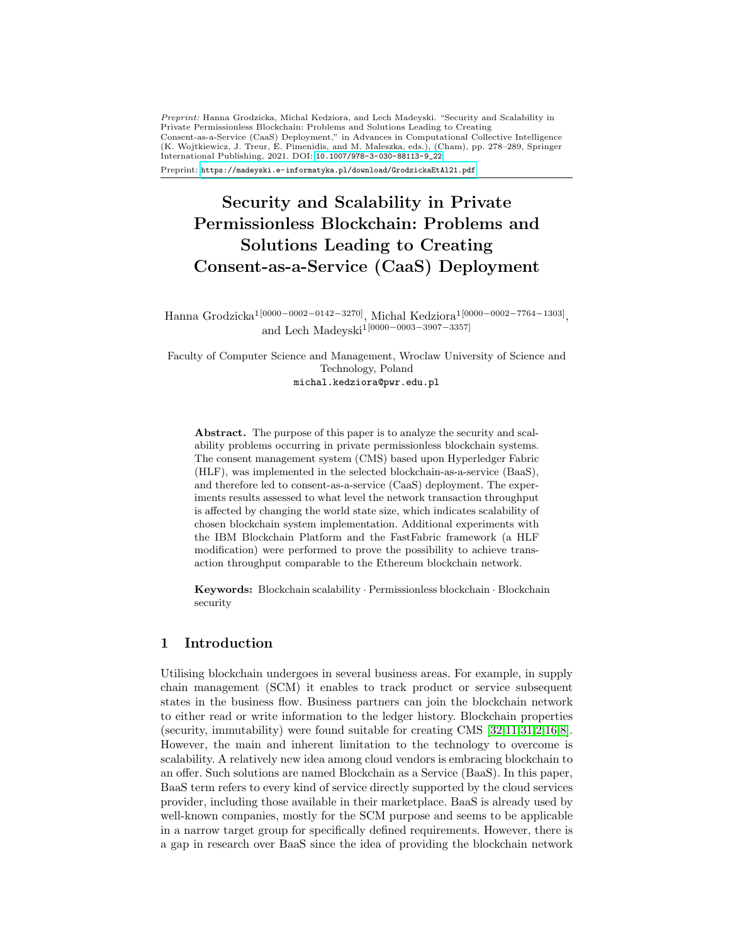Preprint: Hanna Grodzicka, Michal Kedziora, and Lech Madeyski. "Security and Scalability in Private Permissionless Blockchain: Problems and Solutions Leading to Creating Consent-as-a-Service (CaaS) Deployment," in Advances in Computational Collective Intelligence (K. Wojtkiewicz, J. Treur, E. Pimenidis, and M. Maleszka, eds.), (Cham), pp. 278–289, Springer International Publishing, 2021. DOI: [10.1007/978-3-030-88113-9\\_22](http://dx.doi.org/10.1007/978-3-030-88113-9_22) Preprint: <https://madeyski.e-informatyka.pl/download/GrodzickaEtAl21.pdf>

# Security and Scalability in Private Permissionless Blockchain: Problems and Solutions Leading to Creating Consent-as-a-Service (CaaS) Deployment

Hanna Grodzicka1[0000−0002−0142−3270], Michal Kedziora1[0000−0002−7764−1303] , and Lech Madeyski<sup>1[0000–0003–3907–3357]</sup>

Faculty of Computer Science and Management, Wroclaw University of Science and Technology, Poland michal.kedziora@pwr.edu.pl

Abstract. The purpose of this paper is to analyze the security and scalability problems occurring in private permissionless blockchain systems. The consent management system (CMS) based upon Hyperledger Fabric (HLF), was implemented in the selected blockchain-as-a-service (BaaS), and therefore led to consent-as-a-service (CaaS) deployment. The experiments results assessed to what level the network transaction throughput is affected by changing the world state size, which indicates scalability of chosen blockchain system implementation. Additional experiments with the IBM Blockchain Platform and the FastFabric framework (a HLF modification) were performed to prove the possibility to achieve transaction throughput comparable to the Ethereum blockchain network.

Keywords: Blockchain scalability · Permissionless blockchain · Blockchain security

## <span id="page-0-0"></span>1 Introduction

Utilising blockchain undergoes in several business areas. For example, in supply chain management (SCM) it enables to track product or service subsequent states in the business flow. Business partners can join the blockchain network to either read or write information to the ledger history. Blockchain properties (security, immutability) were found suitable for creating CMS [\[32,](#page-11-0)[11,](#page-10-0)[31,](#page-11-1)[2,](#page-10-1)[16,](#page-11-2)[8\]](#page-10-2). However, the main and inherent limitation to the technology to overcome is scalability. A relatively new idea among cloud vendors is embracing blockchain to an offer. Such solutions are named Blockchain as a Service (BaaS). In this paper, BaaS term refers to every kind of service directly supported by the cloud services provider, including those available in their marketplace. BaaS is already used by well-known companies, mostly for the SCM purpose and seems to be applicable in a narrow target group for specifically defined requirements. However, there is a gap in research over BaaS since the idea of providing the blockchain network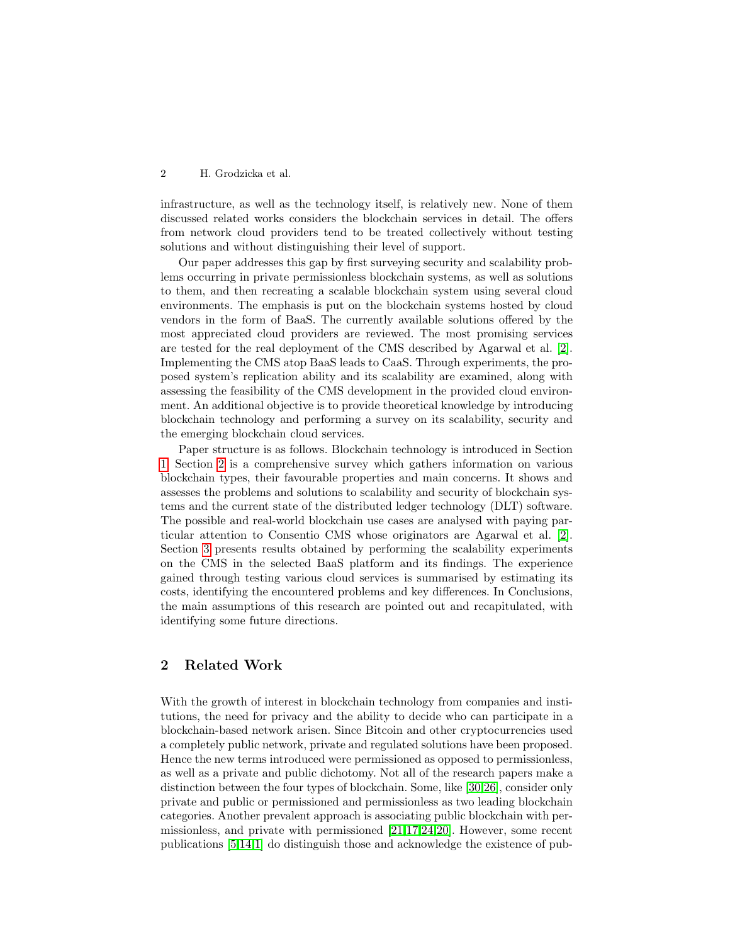infrastructure, as well as the technology itself, is relatively new. None of them discussed related works considers the blockchain services in detail. The offers from network cloud providers tend to be treated collectively without testing solutions and without distinguishing their level of support.

Our paper addresses this gap by first surveying security and scalability problems occurring in private permissionless blockchain systems, as well as solutions to them, and then recreating a scalable blockchain system using several cloud environments. The emphasis is put on the blockchain systems hosted by cloud vendors in the form of BaaS. The currently available solutions offered by the most appreciated cloud providers are reviewed. The most promising services are tested for the real deployment of the CMS described by Agarwal et al. [\[2\]](#page-10-1). Implementing the CMS atop BaaS leads to CaaS. Through experiments, the proposed system's replication ability and its scalability are examined, along with assessing the feasibility of the CMS development in the provided cloud environment. An additional objective is to provide theoretical knowledge by introducing blockchain technology and performing a survey on its scalability, security and the emerging blockchain cloud services.

Paper structure is as follows. Blockchain technology is introduced in Section [1.](#page-0-0) Section [2](#page-1-0) is a comprehensive survey which gathers information on various blockchain types, their favourable properties and main concerns. It shows and assesses the problems and solutions to scalability and security of blockchain systems and the current state of the distributed ledger technology (DLT) software. The possible and real-world blockchain use cases are analysed with paying particular attention to Consentio CMS whose originators are Agarwal et al. [\[2\]](#page-10-1). Section [3](#page-4-0) presents results obtained by performing the scalability experiments on the CMS in the selected BaaS platform and its findings. The experience gained through testing various cloud services is summarised by estimating its costs, identifying the encountered problems and key differences. In Conclusions, the main assumptions of this research are pointed out and recapitulated, with identifying some future directions.

# <span id="page-1-0"></span>2 Related Work

With the growth of interest in blockchain technology from companies and institutions, the need for privacy and the ability to decide who can participate in a blockchain-based network arisen. Since Bitcoin and other cryptocurrencies used a completely public network, private and regulated solutions have been proposed. Hence the new terms introduced were permissioned as opposed to permissionless, as well as a private and public dichotomy. Not all of the research papers make a distinction between the four types of blockchain. Some, like [\[30,](#page-11-3)[26\]](#page-11-4), consider only private and public or permissioned and permissionless as two leading blockchain categories. Another prevalent approach is associating public blockchain with permissionless, and private with permissioned [\[21,](#page-11-5)[17,](#page-11-6)[24,](#page-11-7)[20\]](#page-11-8). However, some recent publications [\[5](#page-10-3)[,14,](#page-10-4)[1\]](#page-10-5) do distinguish those and acknowledge the existence of pub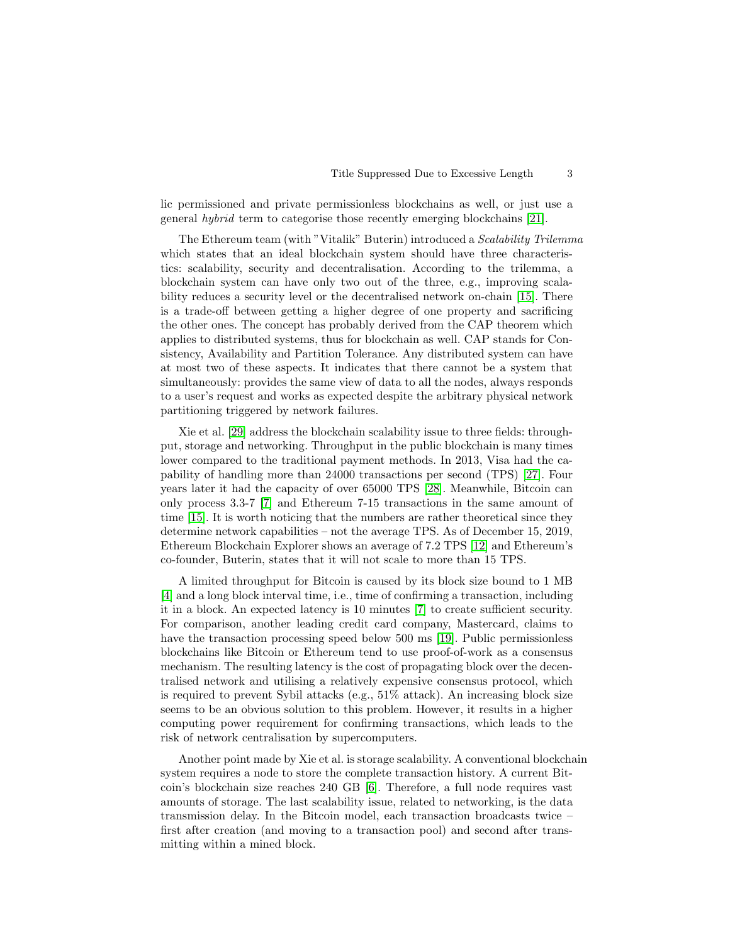lic permissioned and private permissionless blockchains as well, or just use a general hybrid term to categorise those recently emerging blockchains [\[21\]](#page-11-5).

The Ethereum team (with "Vitalik" Buterin) introduced a Scalability Trilemma which states that an ideal blockchain system should have three characteristics: scalability, security and decentralisation. According to the trilemma, a blockchain system can have only two out of the three, e.g., improving scalability reduces a security level or the decentralised network on-chain [\[15\]](#page-11-9). There is a trade-off between getting a higher degree of one property and sacrificing the other ones. The concept has probably derived from the CAP theorem which applies to distributed systems, thus for blockchain as well. CAP stands for Consistency, Availability and Partition Tolerance. Any distributed system can have at most two of these aspects. It indicates that there cannot be a system that simultaneously: provides the same view of data to all the nodes, always responds to a user's request and works as expected despite the arbitrary physical network partitioning triggered by network failures.

Xie et al. [\[29\]](#page-11-10) address the blockchain scalability issue to three fields: throughput, storage and networking. Throughput in the public blockchain is many times lower compared to the traditional payment methods. In 2013, Visa had the capability of handling more than 24000 transactions per second (TPS) [\[27\]](#page-11-11). Four years later it had the capacity of over 65000 TPS [\[28\]](#page-11-12). Meanwhile, Bitcoin can only process 3.3-7 [\[7\]](#page-10-6) and Ethereum 7-15 transactions in the same amount of time [\[15\]](#page-11-9). It is worth noticing that the numbers are rather theoretical since they determine network capabilities – not the average TPS. As of December 15, 2019, Ethereum Blockchain Explorer shows an average of 7.2 TPS [\[12\]](#page-10-7) and Ethereum's co-founder, Buterin, states that it will not scale to more than 15 TPS.

A limited throughput for Bitcoin is caused by its block size bound to 1 MB [\[4\]](#page-10-8) and a long block interval time, i.e., time of confirming a transaction, including it in a block. An expected latency is 10 minutes [\[7\]](#page-10-6) to create sufficient security. For comparison, another leading credit card company, Mastercard, claims to have the transaction processing speed below 500 ms [\[19\]](#page-11-13). Public permissionless blockchains like Bitcoin or Ethereum tend to use proof-of-work as a consensus mechanism. The resulting latency is the cost of propagating block over the decentralised network and utilising a relatively expensive consensus protocol, which is required to prevent Sybil attacks (e.g., 51% attack). An increasing block size seems to be an obvious solution to this problem. However, it results in a higher computing power requirement for confirming transactions, which leads to the risk of network centralisation by supercomputers.

Another point made by Xie et al. is storage scalability. A conventional blockchain system requires a node to store the complete transaction history. A current Bitcoin's blockchain size reaches 240 GB [\[6\]](#page-10-9). Therefore, a full node requires vast amounts of storage. The last scalability issue, related to networking, is the data transmission delay. In the Bitcoin model, each transaction broadcasts twice – first after creation (and moving to a transaction pool) and second after transmitting within a mined block.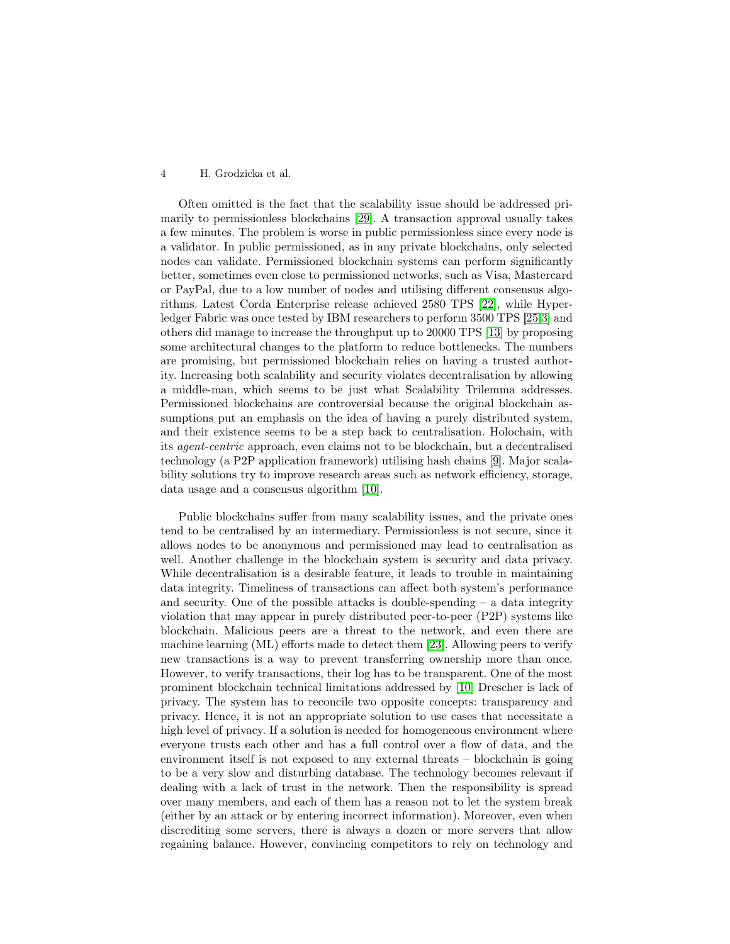Often omitted is the fact that the scalability issue should be addressed primarily to permissionless blockchains [\[29\]](#page-11-10). A transaction approval usually takes a few minutes. The problem is worse in public permissionless since every node is a validator. In public permissioned, as in any private blockchains, only selected nodes can validate. Permissioned blockchain systems can perform significantly better, sometimes even close to permissioned networks, such as Visa, Mastercard or PayPal, due to a low number of nodes and utilising different consensus algorithms. Latest Corda Enterprise release achieved 2580 TPS [\[22\]](#page-11-14), while Hyperledger Fabric was once tested by IBM researchers to perform 3500 TPS [\[25,](#page-11-15)[3\]](#page-10-10) and others did manage to increase the throughput up to 20000 TPS [\[13\]](#page-10-11) by proposing some architectural changes to the platform to reduce bottlenecks. The numbers are promising, but permissioned blockchain relies on having a trusted authority. Increasing both scalability and security violates decentralisation by allowing a middle-man, which seems to be just what Scalability Trilemma addresses. Permissioned blockchains are controversial because the original blockchain assumptions put an emphasis on the idea of having a purely distributed system, and their existence seems to be a step back to centralisation. Holochain, with its agent-centric approach, even claims not to be blockchain, but a decentralised technology (a P2P application framework) utilising hash chains [\[9\]](#page-10-12). Major scalability solutions try to improve research areas such as network efficiency, storage, data usage and a consensus algorithm [\[10\]](#page-10-13).

Public blockchains suffer from many scalability issues, and the private ones tend to be centralised by an intermediary. Permissionless is not secure, since it allows nodes to be anonymous and permissioned may lead to centralisation as well. Another challenge in the blockchain system is security and data privacy. While decentralisation is a desirable feature, it leads to trouble in maintaining data integrity. Timeliness of transactions can affect both system's performance and security. One of the possible attacks is double-spending – a data integrity violation that may appear in purely distributed peer-to-peer (P2P) systems like blockchain. Malicious peers are a threat to the network, and even there are machine learning (ML) efforts made to detect them [\[23\]](#page-11-16). Allowing peers to verify new transactions is a way to prevent transferring ownership more than once. However, to verify transactions, their log has to be transparent. One of the most prominent blockchain technical limitations addressed by [\[10\]](#page-10-13) Drescher is lack of privacy. The system has to reconcile two opposite concepts: transparency and privacy. Hence, it is not an appropriate solution to use cases that necessitate a high level of privacy. If a solution is needed for homogeneous environment where everyone trusts each other and has a full control over a flow of data, and the environment itself is not exposed to any external threats – blockchain is going to be a very slow and disturbing database. The technology becomes relevant if dealing with a lack of trust in the network. Then the responsibility is spread over many members, and each of them has a reason not to let the system break (either by an attack or by entering incorrect information). Moreover, even when discrediting some servers, there is always a dozen or more servers that allow regaining balance. However, convincing competitors to rely on technology and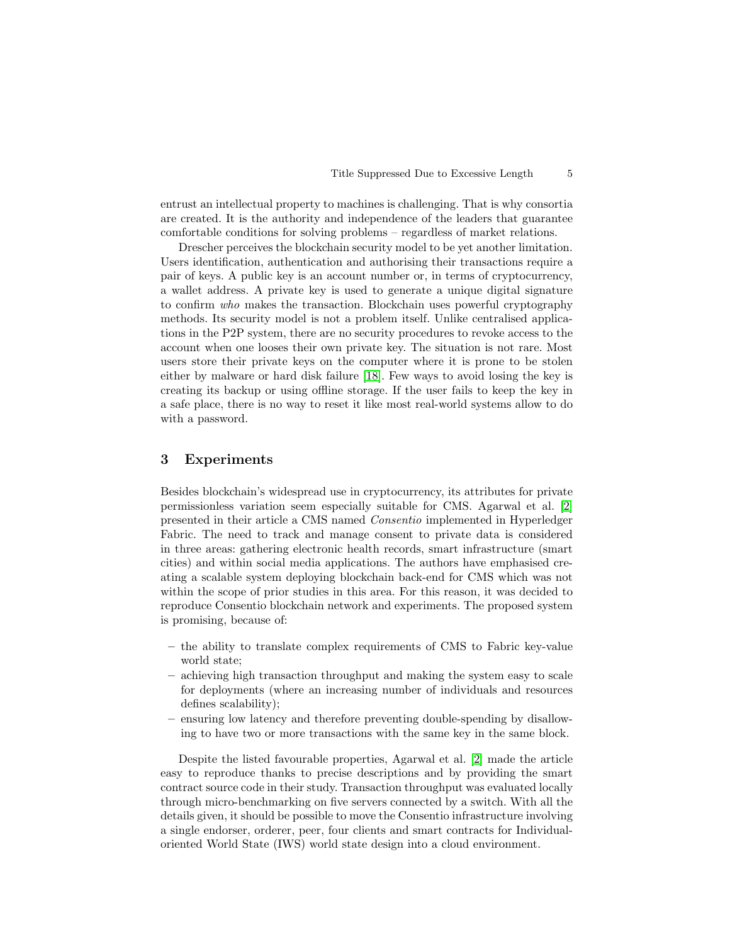entrust an intellectual property to machines is challenging. That is why consortia are created. It is the authority and independence of the leaders that guarantee comfortable conditions for solving problems – regardless of market relations.

Drescher perceives the blockchain security model to be yet another limitation. Users identification, authentication and authorising their transactions require a pair of keys. A public key is an account number or, in terms of cryptocurrency, a wallet address. A private key is used to generate a unique digital signature to confirm who makes the transaction. Blockchain uses powerful cryptography methods. Its security model is not a problem itself. Unlike centralised applications in the P2P system, there are no security procedures to revoke access to the account when one looses their own private key. The situation is not rare. Most users store their private keys on the computer where it is prone to be stolen either by malware or hard disk failure [\[18\]](#page-11-17). Few ways to avoid losing the key is creating its backup or using offline storage. If the user fails to keep the key in a safe place, there is no way to reset it like most real-world systems allow to do with a password.

## <span id="page-4-0"></span>3 Experiments

Besides blockchain's widespread use in cryptocurrency, its attributes for private permissionless variation seem especially suitable for CMS. Agarwal et al. [\[2\]](#page-10-1) presented in their article a CMS named Consentio implemented in Hyperledger Fabric. The need to track and manage consent to private data is considered in three areas: gathering electronic health records, smart infrastructure (smart cities) and within social media applications. The authors have emphasised creating a scalable system deploying blockchain back-end for CMS which was not within the scope of prior studies in this area. For this reason, it was decided to reproduce Consentio blockchain network and experiments. The proposed system is promising, because of:

- the ability to translate complex requirements of CMS to Fabric key-value world state;
- achieving high transaction throughput and making the system easy to scale for deployments (where an increasing number of individuals and resources defines scalability);
- ensuring low latency and therefore preventing double-spending by disallowing to have two or more transactions with the same key in the same block.

Despite the listed favourable properties, Agarwal et al. [\[2\]](#page-10-1) made the article easy to reproduce thanks to precise descriptions and by providing the smart contract source code in their study. Transaction throughput was evaluated locally through micro-benchmarking on five servers connected by a switch. With all the details given, it should be possible to move the Consentio infrastructure involving a single endorser, orderer, peer, four clients and smart contracts for Individualoriented World State (IWS) world state design into a cloud environment.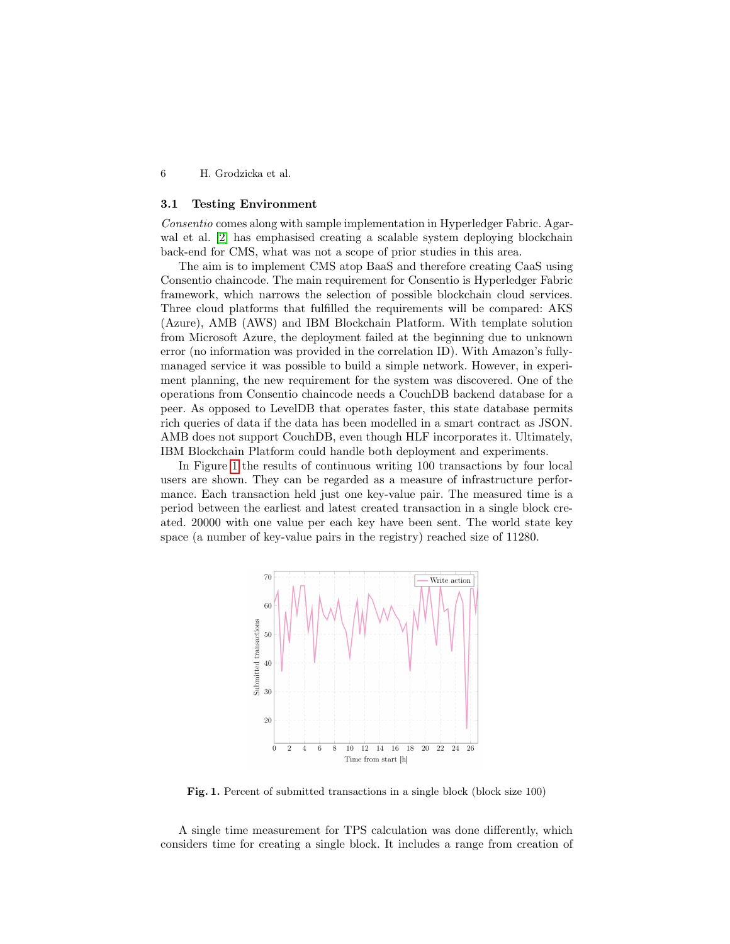#### 3.1 Testing Environment

Consentio comes along with sample implementation in Hyperledger Fabric. Agar-wal et al. [\[2\]](#page-10-1) has emphasised creating a scalable system deploying blockchain back-end for CMS, what was not a scope of prior studies in this area.

The aim is to implement CMS atop BaaS and therefore creating CaaS using Consentio chaincode. The main requirement for Consentio is Hyperledger Fabric framework, which narrows the selection of possible blockchain cloud services. Three cloud platforms that fulfilled the requirements will be compared: AKS (Azure), AMB (AWS) and IBM Blockchain Platform. With template solution from Microsoft Azure, the deployment failed at the beginning due to unknown error (no information was provided in the correlation ID). With Amazon's fullymanaged service it was possible to build a simple network. However, in experiment planning, the new requirement for the system was discovered. One of the operations from Consentio chaincode needs a CouchDB backend database for a peer. As opposed to LevelDB that operates faster, this state database permits rich queries of data if the data has been modelled in a smart contract as JSON. AMB does not support CouchDB, even though HLF incorporates it. Ultimately, IBM Blockchain Platform could handle both deployment and experiments.

In Figure [1](#page-5-0) the results of continuous writing 100 transactions by four local users are shown. They can be regarded as a measure of infrastructure performance. Each transaction held just one key-value pair. The measured time is a period between the earliest and latest created transaction in a single block created. 20000 with one value per each key have been sent. The world state key space (a number of key-value pairs in the registry) reached size of 11280.



<span id="page-5-0"></span>Fig. 1. Percent of submitted transactions in a single block (block size 100)

A single time measurement for TPS calculation was done differently, which considers time for creating a single block. It includes a range from creation of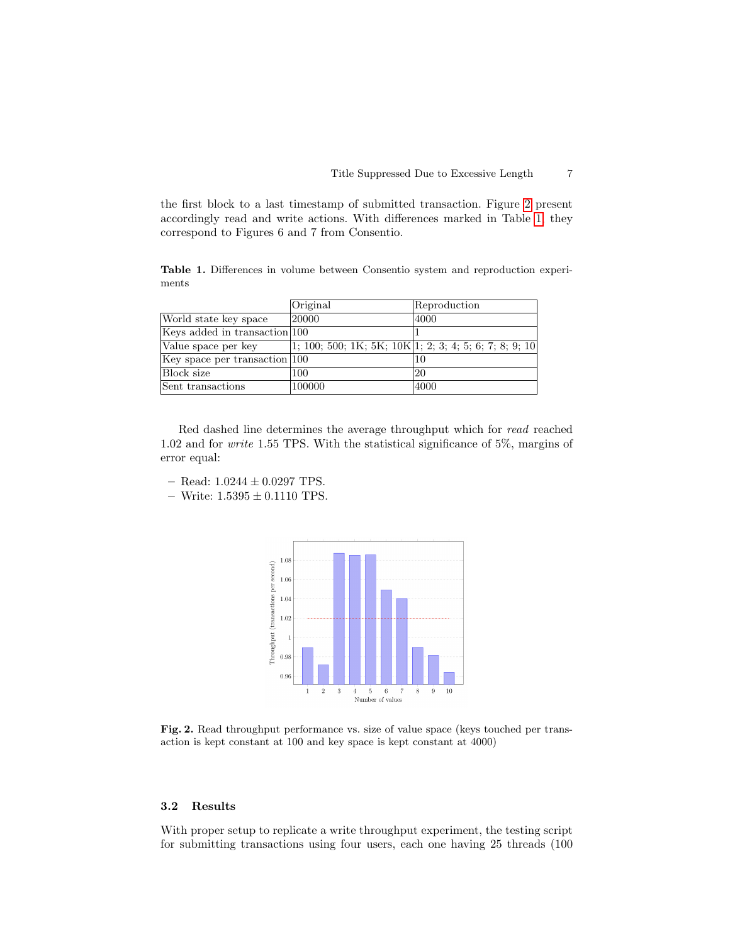the first block to a last timestamp of submitted transaction. Figure [2](#page-6-0) present accordingly read and write actions. With differences marked in Table [1,](#page-6-1) they correspond to Figures 6 and 7 from Consentio.

<span id="page-6-1"></span>Table 1. Differences in volume between Consentio system and reproduction experiments

|                               | Original | Reproduction                                             |
|-------------------------------|----------|----------------------------------------------------------|
| World state key space         | 20000    | 4000                                                     |
| Keys added in transaction 100 |          |                                                          |
| Value space per key           |          | $1; 100; 500; 1K; 5K; 10K 1; 2; 3; 4; 5; 6; 7; 8; 9; 10$ |
| Key space per transaction 100 |          | 10                                                       |
| Block size                    | 100      | 20                                                       |
| Sent transactions             | 100000   | 4000                                                     |

Red dashed line determines the average throughput which for read reached 1.02 and for write 1.55 TPS. With the statistical significance of 5%, margins of error equal:

- $-$  Read:  $1.0244 \pm 0.0297$  TPS.
- Write:  $1.5395 \pm 0.1110$  TPS.



<span id="page-6-0"></span>Fig. 2. Read throughput performance vs. size of value space (keys touched per transaction is kept constant at 100 and key space is kept constant at 4000)

## 3.2 Results

With proper setup to replicate a write throughput experiment, the testing script for submitting transactions using four users, each one having 25 threads (100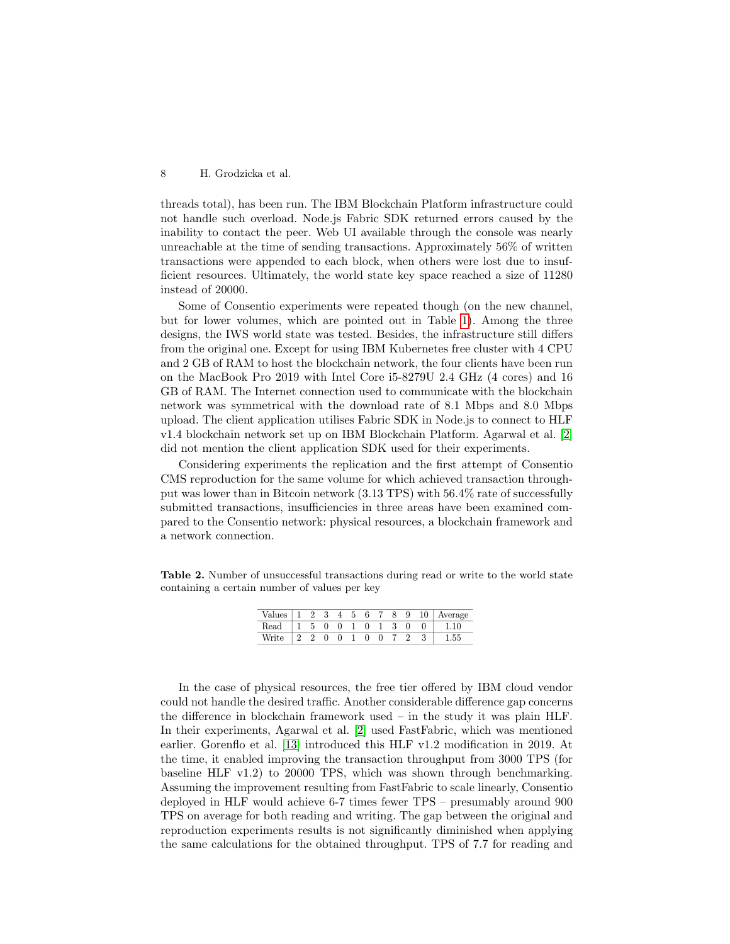threads total), has been run. The IBM Blockchain Platform infrastructure could not handle such overload. Node.js Fabric SDK returned errors caused by the inability to contact the peer. Web UI available through the console was nearly unreachable at the time of sending transactions. Approximately 56% of written transactions were appended to each block, when others were lost due to insufficient resources. Ultimately, the world state key space reached a size of 11280 instead of 20000.

Some of Consentio experiments were repeated though (on the new channel, but for lower volumes, which are pointed out in Table [1\)](#page-6-1). Among the three designs, the IWS world state was tested. Besides, the infrastructure still differs from the original one. Except for using IBM Kubernetes free cluster with 4 CPU and 2 GB of RAM to host the blockchain network, the four clients have been run on the MacBook Pro 2019 with Intel Core i5-8279U 2.4 GHz (4 cores) and 16 GB of RAM. The Internet connection used to communicate with the blockchain network was symmetrical with the download rate of 8.1 Mbps and 8.0 Mbps upload. The client application utilises Fabric SDK in Node.js to connect to HLF v1.4 blockchain network set up on IBM Blockchain Platform. Agarwal et al. [\[2\]](#page-10-1) did not mention the client application SDK used for their experiments.

Considering experiments the replication and the first attempt of Consentio CMS reproduction for the same volume for which achieved transaction throughput was lower than in Bitcoin network (3.13 TPS) with 56.4% rate of successfully submitted transactions, insufficiencies in three areas have been examined compared to the Consentio network: physical resources, a blockchain framework and a network connection.

<span id="page-7-0"></span>Table 2. Number of unsuccessful transactions during read or write to the world state containing a certain number of values per key

| Values |          |   | 3 |   | 5 | 6 |  | 9 | 10 | Average |
|--------|----------|---|---|---|---|---|--|---|----|---------|
| Read   |          | 5 | 0 | 0 |   |   |  |   |    | 10      |
| Write  | $\Omega$ |   | 0 |   |   |   |  |   |    | 55      |

In the case of physical resources, the free tier offered by IBM cloud vendor could not handle the desired traffic. Another considerable difference gap concerns the difference in blockchain framework used – in the study it was plain HLF. In their experiments, Agarwal et al. [\[2\]](#page-10-1) used FastFabric, which was mentioned earlier. Gorenflo et al. [\[13\]](#page-10-11) introduced this HLF v1.2 modification in 2019. At the time, it enabled improving the transaction throughput from 3000 TPS (for baseline HLF v1.2) to 20000 TPS, which was shown through benchmarking. Assuming the improvement resulting from FastFabric to scale linearly, Consentio deployed in HLF would achieve 6-7 times fewer TPS – presumably around 900 TPS on average for both reading and writing. The gap between the original and reproduction experiments results is not significantly diminished when applying the same calculations for the obtained throughput. TPS of 7.7 for reading and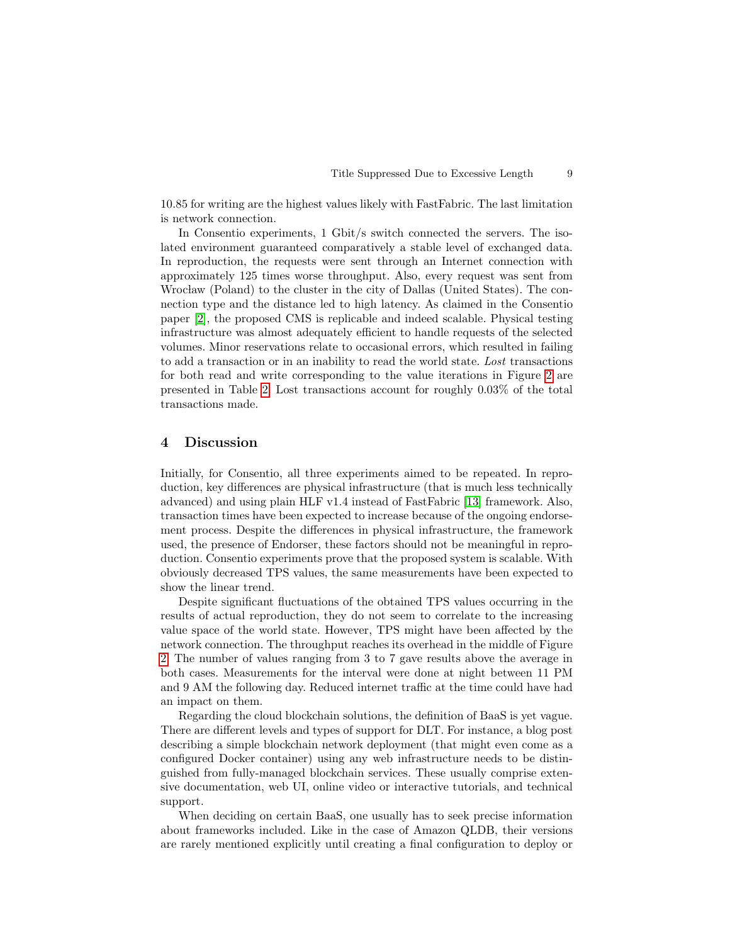10.85 for writing are the highest values likely with FastFabric. The last limitation is network connection.

In Consentio experiments, 1 Gbit/s switch connected the servers. The isolated environment guaranteed comparatively a stable level of exchanged data. In reproduction, the requests were sent through an Internet connection with approximately 125 times worse throughput. Also, every request was sent from Wrocław (Poland) to the cluster in the city of Dallas (United States). The connection type and the distance led to high latency. As claimed in the Consentio paper [\[2\]](#page-10-1), the proposed CMS is replicable and indeed scalable. Physical testing infrastructure was almost adequately efficient to handle requests of the selected volumes. Minor reservations relate to occasional errors, which resulted in failing to add a transaction or in an inability to read the world state. Lost transactions for both read and write corresponding to the value iterations in Figure [2](#page-6-0) are presented in Table [2.](#page-7-0) Lost transactions account for roughly 0.03% of the total transactions made.

#### 4 Discussion

Initially, for Consentio, all three experiments aimed to be repeated. In reproduction, key differences are physical infrastructure (that is much less technically advanced) and using plain HLF v1.4 instead of FastFabric [\[13\]](#page-10-11) framework. Also, transaction times have been expected to increase because of the ongoing endorsement process. Despite the differences in physical infrastructure, the framework used, the presence of Endorser, these factors should not be meaningful in reproduction. Consentio experiments prove that the proposed system is scalable. With obviously decreased TPS values, the same measurements have been expected to show the linear trend.

Despite significant fluctuations of the obtained TPS values occurring in the results of actual reproduction, they do not seem to correlate to the increasing value space of the world state. However, TPS might have been affected by the network connection. The throughput reaches its overhead in the middle of Figure [2.](#page-6-0) The number of values ranging from 3 to 7 gave results above the average in both cases. Measurements for the interval were done at night between 11 PM and 9 AM the following day. Reduced internet traffic at the time could have had an impact on them.

Regarding the cloud blockchain solutions, the definition of BaaS is yet vague. There are different levels and types of support for DLT. For instance, a blog post describing a simple blockchain network deployment (that might even come as a configured Docker container) using any web infrastructure needs to be distinguished from fully-managed blockchain services. These usually comprise extensive documentation, web UI, online video or interactive tutorials, and technical support.

When deciding on certain BaaS, one usually has to seek precise information about frameworks included. Like in the case of Amazon QLDB, their versions are rarely mentioned explicitly until creating a final configuration to deploy or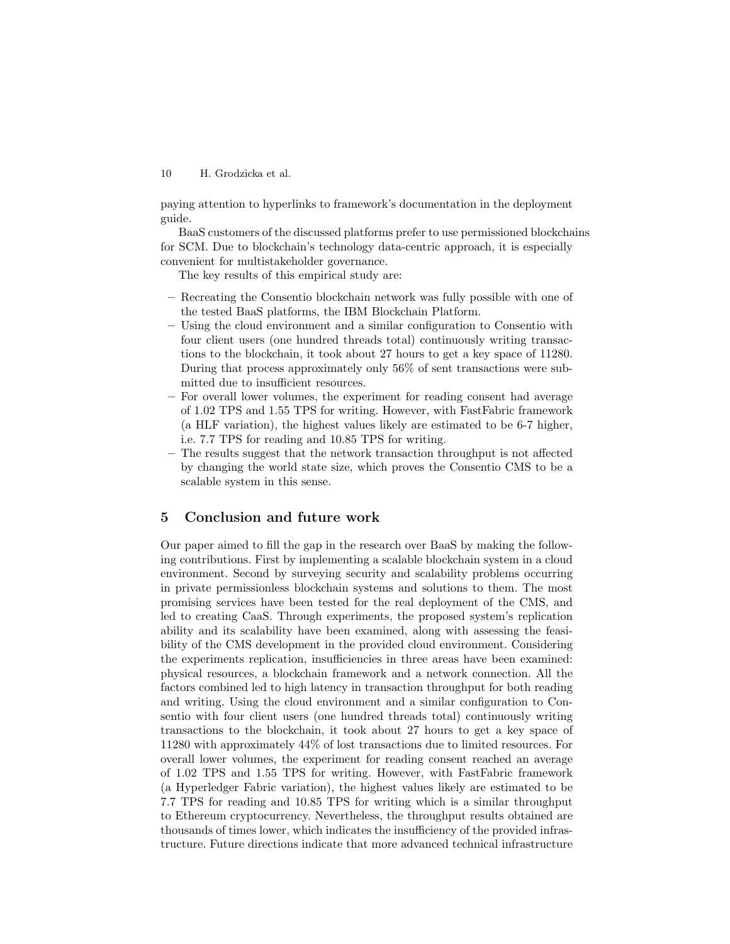paying attention to hyperlinks to framework's documentation in the deployment guide.

BaaS customers of the discussed platforms prefer to use permissioned blockchains for SCM. Due to blockchain's technology data-centric approach, it is especially convenient for multistakeholder governance.

The key results of this empirical study are:

- Recreating the Consentio blockchain network was fully possible with one of the tested BaaS platforms, the IBM Blockchain Platform.
- Using the cloud environment and a similar configuration to Consentio with four client users (one hundred threads total) continuously writing transactions to the blockchain, it took about 27 hours to get a key space of 11280. During that process approximately only 56% of sent transactions were submitted due to insufficient resources.
- For overall lower volumes, the experiment for reading consent had average of 1.02 TPS and 1.55 TPS for writing. However, with FastFabric framework (a HLF variation), the highest values likely are estimated to be 6-7 higher, i.e. 7.7 TPS for reading and 10.85 TPS for writing.
- The results suggest that the network transaction throughput is not affected by changing the world state size, which proves the Consentio CMS to be a scalable system in this sense.

# 5 Conclusion and future work

Our paper aimed to fill the gap in the research over BaaS by making the following contributions. First by implementing a scalable blockchain system in a cloud environment. Second by surveying security and scalability problems occurring in private permissionless blockchain systems and solutions to them. The most promising services have been tested for the real deployment of the CMS, and led to creating CaaS. Through experiments, the proposed system's replication ability and its scalability have been examined, along with assessing the feasibility of the CMS development in the provided cloud environment. Considering the experiments replication, insufficiencies in three areas have been examined: physical resources, a blockchain framework and a network connection. All the factors combined led to high latency in transaction throughput for both reading and writing. Using the cloud environment and a similar configuration to Consentio with four client users (one hundred threads total) continuously writing transactions to the blockchain, it took about 27 hours to get a key space of 11280 with approximately 44% of lost transactions due to limited resources. For overall lower volumes, the experiment for reading consent reached an average of 1.02 TPS and 1.55 TPS for writing. However, with FastFabric framework (a Hyperledger Fabric variation), the highest values likely are estimated to be 7.7 TPS for reading and 10.85 TPS for writing which is a similar throughput to Ethereum cryptocurrency. Nevertheless, the throughput results obtained are thousands of times lower, which indicates the insufficiency of the provided infrastructure. Future directions indicate that more advanced technical infrastructure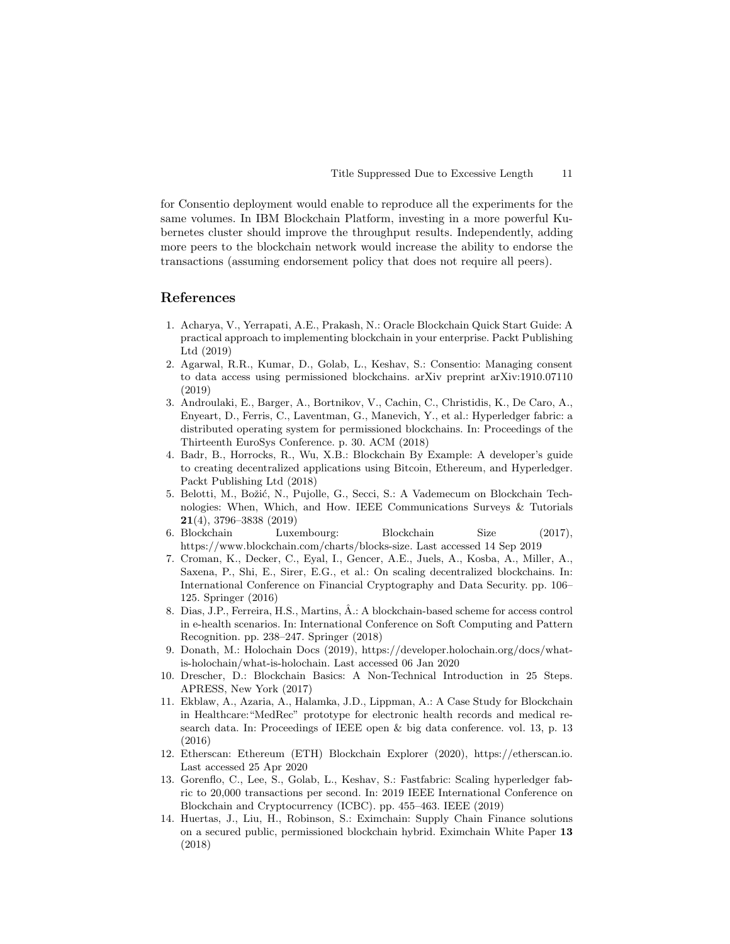for Consentio deployment would enable to reproduce all the experiments for the same volumes. In IBM Blockchain Platform, investing in a more powerful Kubernetes cluster should improve the throughput results. Independently, adding more peers to the blockchain network would increase the ability to endorse the transactions (assuming endorsement policy that does not require all peers).

## References

- <span id="page-10-5"></span>1. Acharya, V., Yerrapati, A.E., Prakash, N.: Oracle Blockchain Quick Start Guide: A practical approach to implementing blockchain in your enterprise. Packt Publishing Ltd (2019)
- <span id="page-10-1"></span>2. Agarwal, R.R., Kumar, D., Golab, L., Keshav, S.: Consentio: Managing consent to data access using permissioned blockchains. arXiv preprint arXiv:1910.07110 (2019)
- <span id="page-10-10"></span>3. Androulaki, E., Barger, A., Bortnikov, V., Cachin, C., Christidis, K., De Caro, A., Enyeart, D., Ferris, C., Laventman, G., Manevich, Y., et al.: Hyperledger fabric: a distributed operating system for permissioned blockchains. In: Proceedings of the Thirteenth EuroSys Conference. p. 30. ACM (2018)
- <span id="page-10-8"></span>4. Badr, B., Horrocks, R., Wu, X.B.: Blockchain By Example: A developer's guide to creating decentralized applications using Bitcoin, Ethereum, and Hyperledger. Packt Publishing Ltd (2018)
- <span id="page-10-3"></span>5. Belotti, M., Božić, N., Pujolle, G., Secci, S.: A Vademecum on Blockchain Technologies: When, Which, and How. IEEE Communications Surveys & Tutorials 21(4), 3796–3838 (2019)
- <span id="page-10-9"></span>6. Blockchain Luxembourg: Blockchain Size (2017), https://www.blockchain.com/charts/blocks-size. Last accessed 14 Sep 2019
- <span id="page-10-6"></span>7. Croman, K., Decker, C., Eyal, I., Gencer, A.E., Juels, A., Kosba, A., Miller, A., Saxena, P., Shi, E., Sirer, E.G., et al.: On scaling decentralized blockchains. In: International Conference on Financial Cryptography and Data Security. pp. 106– 125. Springer (2016)
- <span id="page-10-2"></span>8. Dias, J.P., Ferreira, H.S., Martins,  $\hat{A}$ .: A blockchain-based scheme for access control in e-health scenarios. In: International Conference on Soft Computing and Pattern Recognition. pp. 238–247. Springer (2018)
- <span id="page-10-12"></span>9. Donath, M.: Holochain Docs (2019), https://developer.holochain.org/docs/whatis-holochain/what-is-holochain. Last accessed 06 Jan 2020
- <span id="page-10-13"></span>10. Drescher, D.: Blockchain Basics: A Non-Technical Introduction in 25 Steps. APRESS, New York (2017)
- <span id="page-10-0"></span>11. Ekblaw, A., Azaria, A., Halamka, J.D., Lippman, A.: A Case Study for Blockchain in Healthcare:"MedRec" prototype for electronic health records and medical research data. In: Proceedings of IEEE open & big data conference. vol. 13, p. 13 (2016)
- <span id="page-10-7"></span>12. Etherscan: Ethereum (ETH) Blockchain Explorer (2020), https://etherscan.io. Last accessed 25 Apr 2020
- <span id="page-10-11"></span>13. Gorenflo, C., Lee, S., Golab, L., Keshav, S.: Fastfabric: Scaling hyperledger fabric to 20,000 transactions per second. In: 2019 IEEE International Conference on Blockchain and Cryptocurrency (ICBC). pp. 455–463. IEEE (2019)
- <span id="page-10-4"></span>14. Huertas, J., Liu, H., Robinson, S.: Eximchain: Supply Chain Finance solutions on a secured public, permissioned blockchain hybrid. Eximchain White Paper 13 (2018)